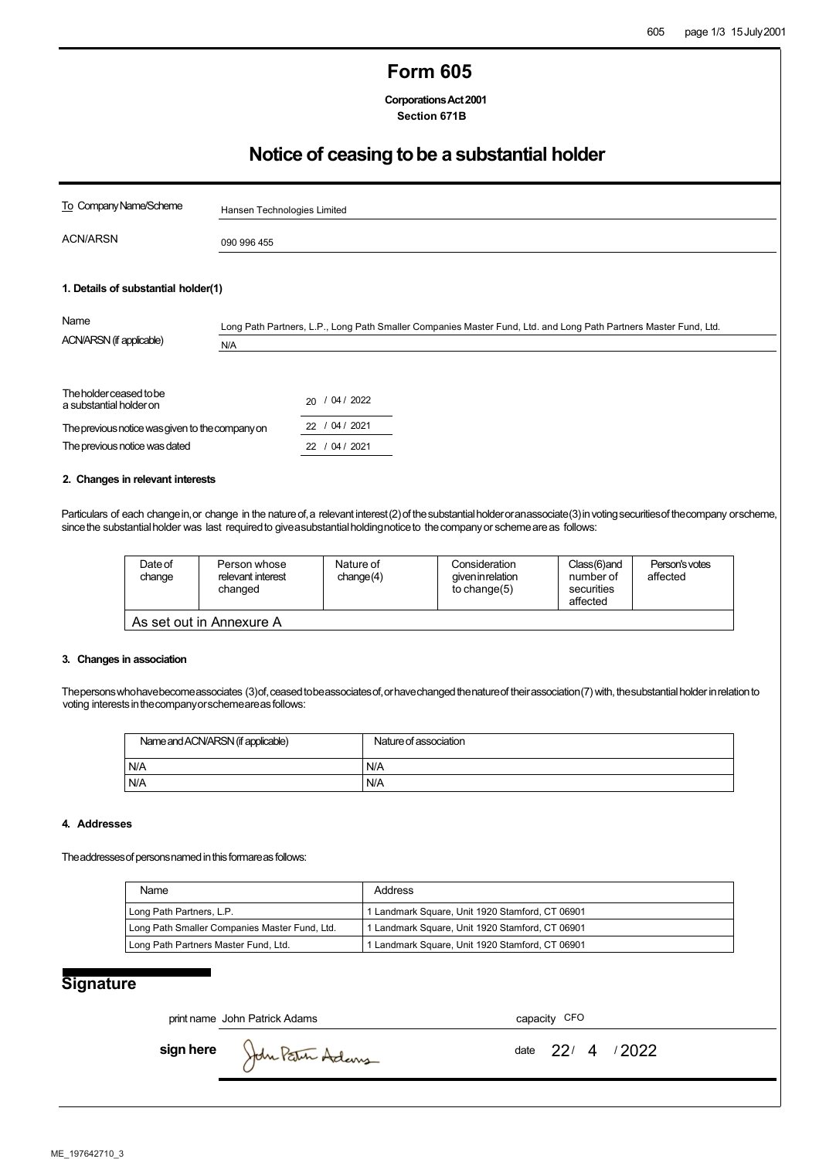## **Form 605**

**CorporationsAct2001 Section 671B**

# **Notice of ceasing tobe a substantial holder**

| To Company Name/Scheme                                                                                                                 | Hansen Technologies Limited                                                                                             |                                                       |  |  |  |
|----------------------------------------------------------------------------------------------------------------------------------------|-------------------------------------------------------------------------------------------------------------------------|-------------------------------------------------------|--|--|--|
| <b>ACN/ARSN</b>                                                                                                                        | 090 996 455                                                                                                             |                                                       |  |  |  |
| 1. Details of substantial holder(1)<br>Name<br>ACN/ARSN (if applicable)                                                                | Long Path Partners, L.P., Long Path Smaller Companies Master Fund, Ltd. and Long Path Partners Master Fund, Ltd.<br>N/A |                                                       |  |  |  |
| The holder ceased to be<br>a substantial holder on<br>The previous notice was given to the company on<br>The previous notice was dated |                                                                                                                         | 20 / 04 / 2022<br>/ 04 / 2021<br>22<br>22 / 04 / 2021 |  |  |  |

#### **2. Changes in relevant interests**

Particulars of each change in, or change in the nature of, a relevant interest (2) of the substantial holder or an associate (3) in voting securities of the company or scheme, since the substantial holder was last required to give a substantial holdingnotice to the company or scheme are as follows:

| Date of<br>change | Person whose<br>relevant interest<br>changed | Nature of<br>change(4) | Consideration<br>qiven in relation<br>to change $(5)$ | Class(6)and<br>number of<br>securities<br>affected | Person's votes<br>affected |
|-------------------|----------------------------------------------|------------------------|-------------------------------------------------------|----------------------------------------------------|----------------------------|
|                   | As set out in Annexure A                     |                        |                                                       |                                                    |                            |

#### **3. Changes in association**

Thepersons who have become associates (3) of, ceased to be associates of, or have changed thenature of their association (7) with, the substantial holder in relation to voting interests in the companyors chemeareas follows:

| Name and ACN/ARSN (if applicable) | Nature of association |
|-----------------------------------|-----------------------|
| N/A                               | N/A                   |
| N/A                               | N/A                   |

#### **4. Addresses**

The addresses of persons named in this formare as follows:

| Name                                          | Address                                         |
|-----------------------------------------------|-------------------------------------------------|
| Long Path Partners, L.P.                      | 1 Landmark Square, Unit 1920 Stamford, CT 06901 |
| Long Path Smaller Companies Master Fund, Ltd. | 1 Landmark Square, Unit 1920 Stamford, CT 06901 |
| Long Path Partners Master Fund, Ltd.          | 1 Landmark Square, Unit 1920 Stamford, CT 06901 |

### **Signature**

print name John Patrick Adams capacity CFO

**sign here** John Patrin Adems **date** 22/4/2022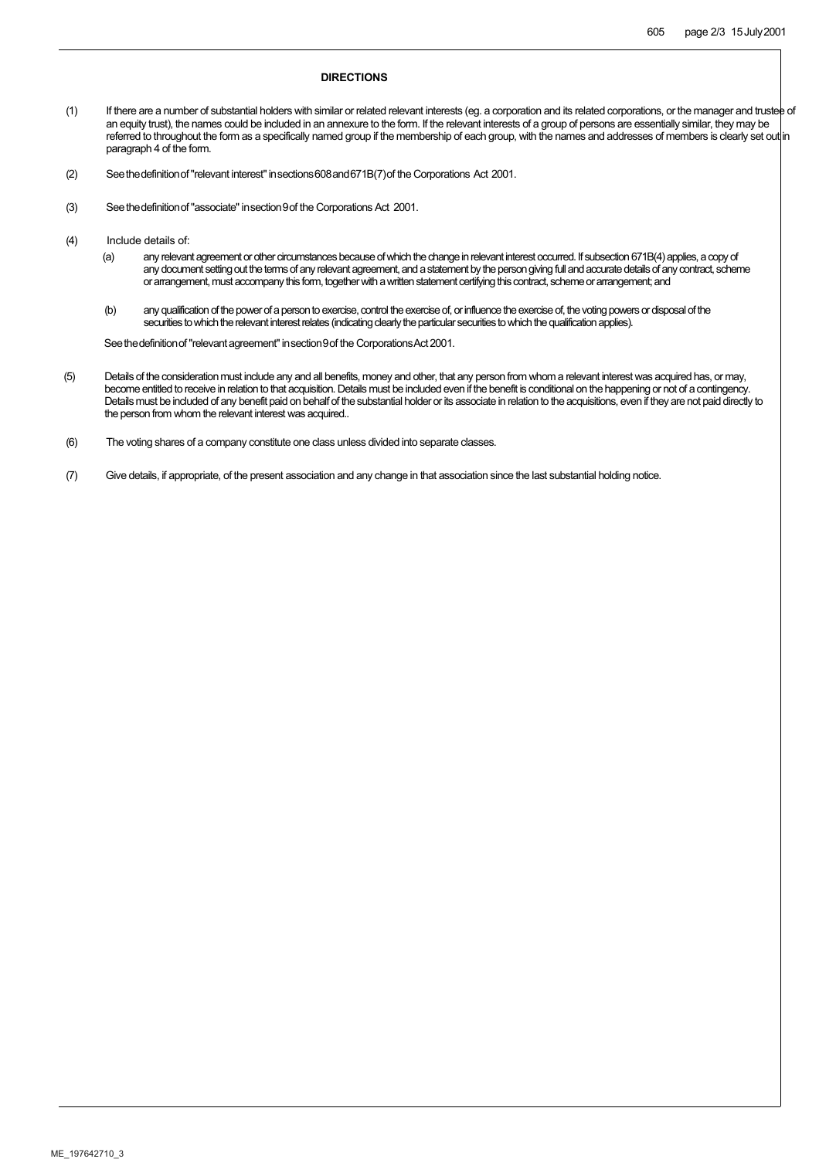#### **DIRECTIONS**

- (1) If there are a number of substantial holders with similar or related relevant interests (eg. a corporation and its related corporations, or the manager and trustee of an equity trust), the names could be included in an annexure to the form. If the relevant interests of a group of persons are essentially similar, they may be referred to throughout the form as a specifically named group if the membership of each group, with the names and addresses of members is clearly set out in paragraph 4 of the form.
- (2) Seethedefinitionof"relevant interest"insections608and671B(7)of the Corporations Act 2001.
- (3) Seethedefinitionof"associate"insection9of the Corporations Act 2001.
- (4) Include details of:
	- (a) any relevant agreement or other circumstances because of which the change in relevant interest occurred. If subsection 671B(4) applies, a copy of any document setting out the terms of any relevant agreement, and a statement by the person giving full and accurate details of any contract, scheme orarrangement, must accompany this form, together with a written statement certifying this contract, scheme or arrangement; and
	- (b) any qualification of the power of a person to exercise, control the exercise of, or influence the exercise of, the voting powers or disposal of the securities to which the relevant interest relates (indicating clearly the particular securities to which the qualification applies).

See the definition of "relevant agreement" in section 9 of the Corporations Act 2001.

- (5) Details of the consideration must include any and all benefits, money and other, that any person from whom a relevant interest was acquired has, or may, become entitled to receive in relation to that acquisition. Details must be included even if the benefit is conditional on the happening or not of a contingency. Details must be included of any benefit paid on behalf of the substantial holder or its associate in relation to the acquisitions, even if they are not paid directly to the person from whom the relevant interest was acquired..
- (6) The voting shares of a company constitute one class unless divided into separate classes.
- (7) Give details, if appropriate, of the present association and any change in that association since the last substantial holding notice.